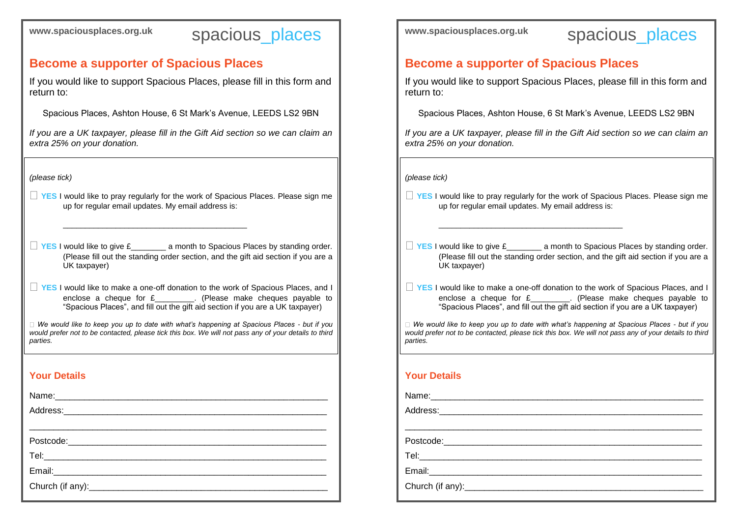## www.spaciousplaces.org.uk Spacious\_places

### **Become a supporter of Spacious Places**

If you would like to support Spacious Places, please fill in this form and return to:

Spacious Places, Ashton House, 6 St Mark's Avenue, LEEDS LS2 9BN

*If you are a UK taxpayer, please fill in the Gift Aid section so we can claim an extra 25% on your donation.*

#### *(please tick)*

**YES** I would like to pray regularly for the work of Spacious Places. Please sign me up for regular email updates. My email address is:

\_\_\_\_\_\_\_\_\_\_\_\_\_\_\_\_\_\_\_\_\_\_\_\_\_\_\_\_\_\_\_\_\_\_\_\_\_\_\_\_\_\_

**YES** I would like to give £ a month to Spacious Places by standing order. (Please fill out the standing order section, and the gift aid section if you are a UK taxpayer)

**YES** I would like to make a one-off donation to the work of Spacious Places, and I enclose a cheque for  $f$  (Please make cheques payable to "Spacious Places", and fill out the gift aid section if you are a UK taxpayer)

*We would like to keep you up to date with what's happening at Spacious Places - but if you would prefer not to be contacted, please tick this box. We will not pass any of your details to third parties.*

### **Your Details**

| Email: 2008 2010 2010 2010 2011 2021 2022 2023 2024 2022 2022 2023 2024 2022 2023 2024 2022 2023 2024 2025 20 |
|---------------------------------------------------------------------------------------------------------------|
|                                                                                                               |

# www.spaciousplaces.org.uk Spacious\_places

### **Become a supporter of Spacious Places**

If you would like to support Spacious Places, please fill in this form and return to:

Spacious Places, Ashton House, 6 St Mark's Avenue, LEEDS LS2 9BN

*If you are a UK taxpayer, please fill in the Gift Aid section so we can claim an extra 25% on your donation.*

#### *(please tick)*

**YES** I would like to pray regularly for the work of Spacious Places. Please sign me up for regular email updates. My email address is:

\_\_\_\_\_\_\_\_\_\_\_\_\_\_\_\_\_\_\_\_\_\_\_\_\_\_\_\_\_\_\_\_\_\_\_\_\_\_\_\_\_\_

**YES** I would like to give £ a month to Spacious Places by standing order. (Please fill out the standing order section, and the gift aid section if you are a UK taxpayer)

**YES** I would like to make a one-off donation to the work of Spacious Places, and I enclose a cheque for £\_\_\_\_\_\_\_\_\_. (Please make cheques payable to "Spacious Places", and fill out the gift aid section if you are a UK taxpayer)

*We would like to keep you up to date with what's happening at Spacious Places - but if you would prefer not to be contacted, please tick this box. We will not pass any of your details to third parties.*

### **Your Details**